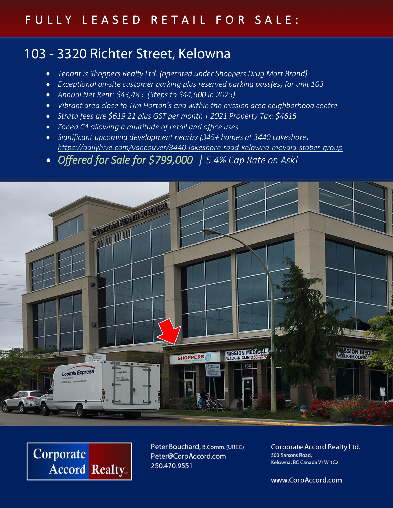## FULLY LEASED RETAIL FOR SALE:

## 103 - 3320 Richter Street, Kelowna

- *Tenant is Shoppers Realty Ltd. (operated under Shoppers Drug Mart Brand)*
- *Exceptional on-site customer parking plus reserved parking pass(es) for unit 103*
- *Annual Net Rent: \$43,485 (Steps to \$44,600 in 2025)*
- *Vibrant area close to Tim Horton's and within the mission area neighborhood centre*
- *Strata fees are \$619.21 plus GST per month | 2021 Property Tax: \$4615*
- *Zoned C4 allowing a multitude of retail and office uses*
- *Significant upcoming development nearby (345+ homes at 3440 Lakeshore) <https://dailyhive.com/vancouver/3440-lakeshore-road-kelowna-movala-stober-group>*
- *Offered for Sale for \$799,000 | 5.4% Cap Rate on Ask!*





Peter Bouchard, B.Comm. (UREC) Peter@CorpAccord.com 250.470.9551

Corporate Accord Realty Ltd. 500 Sarsons Road, Kelowna, BC Canada V1W 1C2

www.CorpAccord.com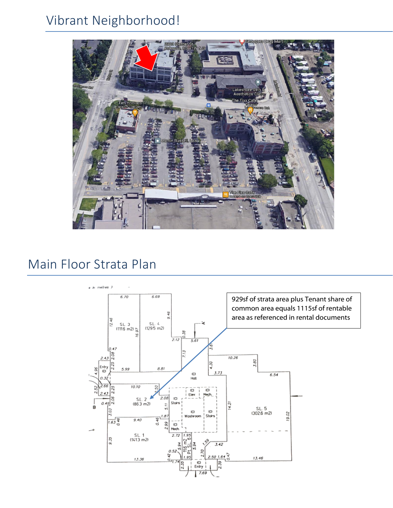# Vibrant Neighborhood!



## Main Floor Strata Plan